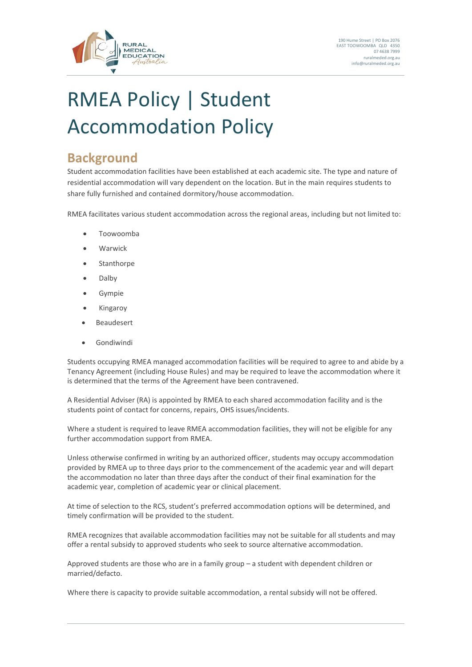

# RMEA Policy | Student Accommodation Policy

#### **Background**

Student accommodation facilities have been established at each academic site. The type and nature of residential accommodation will vary dependent on the location. But in the main requires students to share fully furnished and contained dormitory/house accommodation.

RMEA facilitates various student accommodation across the regional areas, including but not limited to:

- Toowoomba
- Warwick
- Stanthorpe
- Dalby
- **Gympie**
- Kingaroy
- **Beaudesert**
- Gondiwindi

Students occupying RMEA managed accommodation facilities will be required to agree to and abide by a Tenancy Agreement (including House Rules) and may be required to leave the accommodation where it is determined that the terms of the Agreement have been contravened.

A Residential Adviser (RA) is appointed by RMEA to each shared accommodation facility and is the students point of contact for concerns, repairs, OHS issues/incidents.

Where a student is required to leave RMEA accommodation facilities, they will not be eligible for any further accommodation support from RMEA.

Unless otherwise confirmed in writing by an authorized officer, students may occupy accommodation provided by RMEA up to three days prior to the commencement of the academic year and will depart the accommodation no later than three days after the conduct of their final examination for the academic year, completion of academic year or clinical placement.

At time of selection to the RCS, student's preferred accommodation options will be determined, and timely confirmation will be provided to the student.

RMEA recognizes that available accommodation facilities may not be suitable for all students and may offer a rental subsidy to approved students who seek to source alternative accommodation.

Approved students are those who are in a family group – a student with dependent children or married/defacto.

Where there is capacity to provide suitable accommodation, a rental subsidy will not be offered.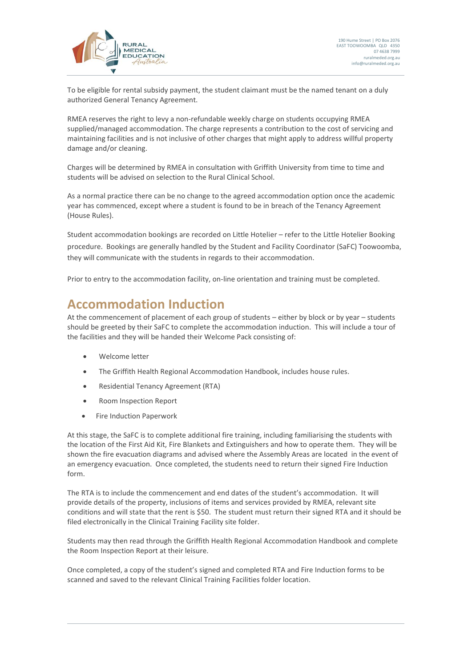

To be eligible for rental subsidy payment, the student claimant must be the named tenant on a duly authorized General Tenancy Agreement.

RMEA reserves the right to levy a non-refundable weekly charge on students occupying RMEA supplied/managed accommodation. The charge represents a contribution to the cost of servicing and maintaining facilities and is not inclusive of other charges that might apply to address willful property damage and/or cleaning.

Charges will be determined by RMEA in consultation with Griffith University from time to time and students will be advised on selection to the Rural Clinical School.

As a normal practice there can be no change to the agreed accommodation option once the academic year has commenced, except where a student is found to be in breach of the Tenancy Agreement (House Rules).

Student accommodation bookings are recorded on Little Hotelier – refer to the Little Hotelier Booking procedure. Bookings are generally handled by the Student and Facility Coordinator (SaFC) Toowoomba, they will communicate with the students in regards to their accommodation.

Prior to entry to the accommodation facility, on-line orientation and training must be completed.

#### **Accommodation Induction**

At the commencement of placement of each group of students – either by block or by year – students should be greeted by their SaFC to complete the accommodation induction. This will include a tour of the facilities and they will be handed their Welcome Pack consisting of:

- Welcome letter
- The Griffith Health Regional Accommodation Handbook, includes house rules.
- Residential Tenancy Agreement (RTA)
- Room Inspection Report
- Fire Induction Paperwork

At this stage, the SaFC is to complete additional fire training, including familiarising the students with the location of the First Aid Kit, Fire Blankets and Extinguishers and how to operate them. They will be shown the fire evacuation diagrams and advised where the Assembly Areas are located in the event of an emergency evacuation. Once completed, the students need to return their signed Fire Induction form.

The RTA is to include the commencement and end dates of the student's accommodation. It will provide details of the property, inclusions of items and services provided by RMEA, relevant site conditions and will state that the rent is \$50. The student must return their signed RTA and it should be filed electronically in the Clinical Training Facility site folder.

Students may then read through the Griffith Health Regional Accommodation Handbook and complete the Room Inspection Report at their leisure.

Once completed, a copy of the student's signed and completed RTA and Fire Induction forms to be scanned and saved to the relevant Clinical Training Facilities folder location.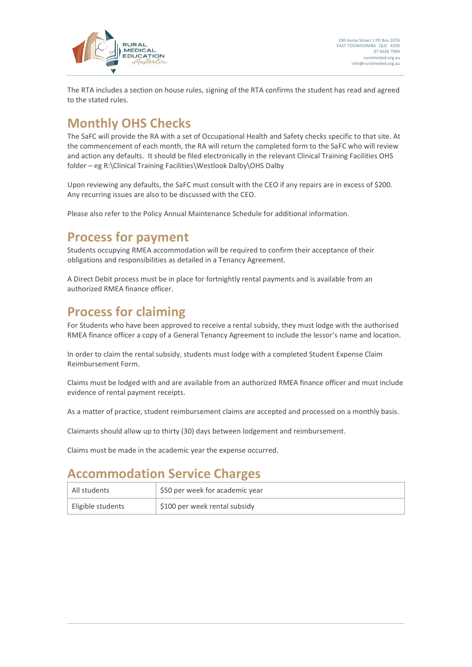

The RTA includes a section on house rules, signing of the RTA confirms the student has read and agreed to the stated rules.

### **Monthly OHS Checks**

The SaFC will provide the RA with a set of Occupational Health and Safety checks specific to that site. At the commencement of each month, the RA will return the completed form to the SaFC who will review and action any defaults. It should be filed electronically in the relevant Clinical Training Facilities OHS folder – eg R:\Clinical Training Facilities\Westlook Dalby\OHS Dalby

Upon reviewing any defaults, the SaFC must consult with the CEO if any repairs are in excess of \$200. Any recurring issues are also to be discussed with the CEO.

Please also refer to the Policy Annual Maintenance Schedule for additional information.

#### **Process for payment**

Students occupying RMEA accommodation will be required to confirm their acceptance of their obligations and responsibilities as detailed in a Tenancy Agreement.

A Direct Debit process must be in place for fortnightly rental payments and is available from an authorized RMEA finance officer.

#### **Process for claiming**

For Students who have been approved to receive a rental subsidy, they must lodge with the authorised RMEA finance officer a copy of a General Tenancy Agreement to include the lessor's name and location.

In order to claim the rental subsidy, students must lodge with a completed Student Expense Claim Reimbursement Form.

Claims must be lodged with and are available from an authorized RMEA finance officer and must include evidence of rental payment receipts.

As a matter of practice, student reimbursement claims are accepted and processed on a monthly basis.

Claimants should allow up to thirty (30) days between lodgement and reimbursement.

Claims must be made in the academic year the expense occurred.

#### **Accommodation Service Charges**

| ' All students    | \$50 per week for academic year |  |
|-------------------|---------------------------------|--|
| Eligible students | \$100 per week rental subsidy   |  |